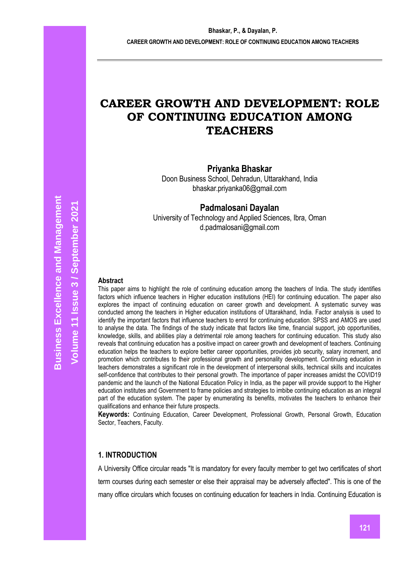# **CAREER GROWTH AND DEVELOPMENT: ROLE OF CONTINUING EDUCATION AMONG TEACHERS**

## **Priyanka Bhaskar**

Doon Business School, Dehradun, Uttarakhand, India bhaskar.priyanka06@gmail.com

**Padmalosani Dayalan** 

University of Technology and Applied Sciences, Ibra, Oman d.padmalosani@gmail.com

#### **Abstract**

This paper aims to highlight the role of continuing education among the teachers of India. The study identifies factors which influence teachers in Higher education institutions (HEI) for continuing education. The paper also explores the impact of continuing education on career growth and development. A systematic survey was conducted among the teachers in Higher education institutions of Uttarakhand, India. Factor analysis is used to identify the important factors that influence teachers to enrol for continuing education. SPSS and AMOS are used to analyse the data. The findings of the study indicate that factors like time, financial support, job opportunities, knowledge, skills, and abilities play a detrimental role among teachers for continuing education. This study also reveals that continuing education has a positive impact on career growth and development of teachers. Continuing education helps the teachers to explore better career opportunities, provides job security, salary increment, and promotion which contributes to their professional growth and personality development. Continuing education in teachers demonstrates a significant role in the development of interpersonal skills, technical skills and inculcates self-confidence that contributes to their personal growth. The importance of paper increases amidst the COVID19 pandemic and the launch of the National Education Policy in India, as the paper will provide support to the Higher education institutes and Government to frame policies and strategies to imbibe continuing education as an integral part of the education system. The paper by enumerating its benefits, motivates the teachers to enhance their qualifications and enhance their future prospects.

**Keywords:** Continuing Education, Career Development, Professional Growth, Personal Growth, Education Sector, Teachers, Faculty.

## **1. INTRODUCTION**

A University Office circular reads "It is mandatory for every faculty member to get two certificates of short term courses during each semester or else their appraisal may be adversely affected". This is one of the many office circulars which focuses on continuing education for teachers in India. Continuing Education is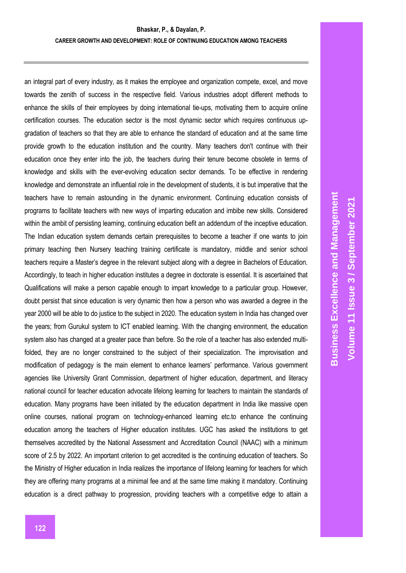an integral part of every industry, as it makes the employee and organization compete, excel, and move towards the zenith of success in the respective field. Various industries adopt different methods to enhance the skills of their employees by doing international tie-ups, motivating them to acquire online certification courses. The education sector is the most dynamic sector which requires continuous upgradation of teachers so that they are able to enhance the standard of education and at the same time provide growth to the education institution and the country. Many teachers don't continue with their education once they enter into the job, the teachers during their tenure become obsolete in terms of knowledge and skills with the ever-evolving education sector demands. To be effective in rendering knowledge and demonstrate an influential role in the development of students, it is but imperative that the teachers have to remain astounding in the dynamic environment. Continuing education consists of programs to facilitate teachers with new ways of imparting education and imbibe new skills. Considered within the ambit of persisting learning, continuing education befit an addendum of the inceptive education. The Indian education system demands certain prerequisites to become a teacher if one wants to join primary teaching then Nursery teaching training certificate is mandatory, middle and senior school teachers require a Master's degree in the relevant subject along with a degree in Bachelors of Education. Accordingly, to teach in higher education institutes a degree in doctorate is essential. It is ascertained that Qualifications will make a person capable enough to impart knowledge to a particular group. However, doubt persist that since education is very dynamic then how a person who was awarded a degree in the year 2000 will be able to do justice to the subject in 2020. The education system in India has changed over the years; from Gurukul system to ICT enabled learning. With the changing environment, the education system also has changed at a greater pace than before. So the role of a teacher has also extended multifolded, they are no longer constrained to the subject of their specialization. The improvisation and modification of pedagogy is the main element to enhance learners' performance. Various government agencies like University Grant Commission, department of higher education, department, and literacy national council for teacher education advocate lifelong learning for teachers to maintain the standards of education. Many programs have been initiated by the education department in India like massive open online courses, national program on technology-enhanced learning etc.to enhance the continuing education among the teachers of Higher education institutes. UGC has asked the institutions to get themselves accredited by the National Assessment and Accreditation Council (NAAC) with a minimum score of 2.5 by 2022. An important criterion to get accredited is the continuing education of teachers. So the Ministry of Higher education in India realizes the importance of lifelong learning for teachers for which they are offering many programs at a minimal fee and at the same time making it mandatory. Continuing education is a direct pathway to progression, providing teachers with a competitive edge to attain a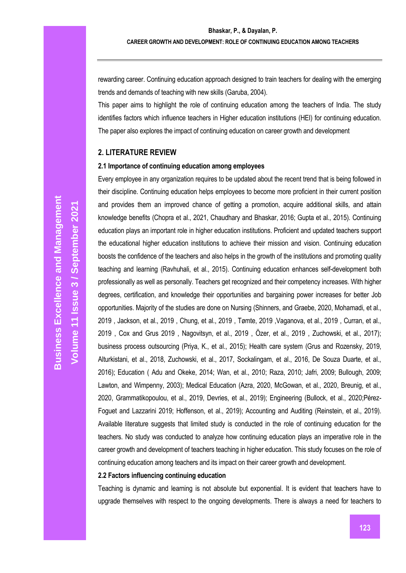rewarding career. Continuing education approach designed to train teachers for dealing with the emerging trends and demands of teaching with new skills (Garuba, 2004).

This paper aims to highlight the role of continuing education among the teachers of India. The study identifies factors which influence teachers in Higher education institutions (HEI) for continuing education. The paper also explores the impact of continuing education on career growth and development

## **2. LITERATURE REVIEW**

#### **2.1 Importance of continuing education among employees**

Every employee in any organization requires to be updated about the recent trend that is being followed in their discipline. Continuing education helps employees to become more proficient in their current position and provides them an improved chance of getting a promotion, acquire additional skills, and attain knowledge benefits (Chopra et al., 2021, Chaudhary and Bhaskar, 2016; Gupta et al., 2015). Continuing education plays an important role in higher education institutions. Proficient and updated teachers support the educational higher education institutions to achieve their mission and vision. Continuing education boosts the confidence of the teachers and also helps in the growth of the institutions and promoting quality teaching and learning (Ravhuhali, et al., 2015). Continuing education enhances self-development both professionally as well as personally. Teachers get recognized and their competency increases. With higher degrees, certification, and knowledge their opportunities and bargaining power increases for better Job opportunities. Majority of the studies are done on Nursing (Shinners, and Graebe, 2020, Mohamadi, et al., 2019 , Jackson, et al., 2019 , Chung, et al., 2019 , Tømte, 2019 ,Vaganova, et al., 2019 , Curran, et al., 2019 , Cox and Grus 2019 , Nagovitsyn, et al., 2019 , Özer, et al., 2019 , Zuchowski, et al., 2017); business process outsourcing (Priya, K., et al., 2015); Health care system (Grus and Rozensky, 2019, Alturkistani, et al., 2018, Zuchowski, et al., 2017, Sockalingam, et al., 2016, De Souza Duarte, et al., 2016); Education ( Adu and Okeke, 2014; Wan, et al., 2010; Raza, 2010; Jafri, 2009; Bullough, 2009; Lawton, and Wimpenny, 2003); Medical Education (Azra, 2020, McGowan, et al., 2020, Breunig, et al., 2020, Grammatikopoulou, et al., 2019, Devries, et al., 2019); Engineering (Bullock, et al., 2020;Pérez-Foguet and Lazzarini 2019; Hoffenson, et al., 2019); Accounting and Auditing (Reinstein, et al., 2019). Available literature suggests that limited study is conducted in the role of continuing education for the teachers. No study was conducted to analyze how continuing education plays an imperative role in the career growth and development of teachers teaching in higher education. This study focuses on the role of continuing education among teachers and its impact on their career growth and development.

## **2.2 Factors influencing continuing education**

Teaching is dynamic and learning is not absolute but exponential. It is evident that teachers have to upgrade themselves with respect to the ongoing developments. There is always a need for teachers to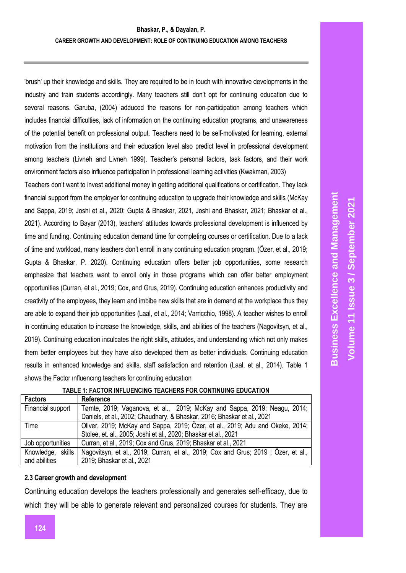'brush' up their knowledge and skills. They are required to be in touch with innovative developments in the industry and train students accordingly. Many teachers still don't opt for continuing education due to several reasons. Garuba, (2004) adduced the reasons for non-participation among teachers which includes financial difficulties, lack of information on the continuing education programs, and unawareness of the potential benefit on professional output. Teachers need to be self-motivated for learning, external motivation from the institutions and their education level also predict level in professional development among teachers (Livneh and Livneh 1999). Teacher's personal factors, task factors, and their work environment factors also influence participation in professional learning activities (Kwakman, 2003)

Teachers don't want to invest additional money in getting additional qualifications or certification. They lack financial support from the employer for continuing education to upgrade their knowledge and skills (McKay and Sappa, 2019; Joshi et al., 2020; Gupta & Bhaskar, 2021, Joshi and Bhaskar, 2021; Bhaskar et al., 2021). According to Bayar (2013), teachers' attitudes towards professional development is influenced by time and funding. Continuing education demand time for completing courses or certification. Due to a lack of time and workload, many teachers don't enroll in any continuing education program. (Özer, et al., 2019; Gupta & Bhaskar, P. 2020). Continuing education offers better job opportunities, some research emphasize that teachers want to enroll only in those programs which can offer better employment opportunities (Curran, et al., 2019; Cox, and Grus, 2019). Continuing education enhances productivity and creativity of the employees, they learn and imbibe new skills that are in demand at the workplace thus they are able to expand their job opportunities (Laal, et al., 2014; Varricchio, 1998). A teacher wishes to enroll in continuing education to increase the knowledge, skills, and abilities of the teachers (Nagovitsyn, et al., 2019). Continuing education inculcates the right skills, attitudes, and understanding which not only makes them better employees but they have also developed them as better individuals. Continuing education results in enhanced knowledge and skills, staff satisfaction and retention (Laal, et al., 2014). Table 1 shows the Factor ınfluencıng teachers for continuing educatıon

| <b>Business Excellence and Management</b> | Volume 11 Issue 3 / September 2021 |
|-------------------------------------------|------------------------------------|
|                                           |                                    |
|                                           |                                    |
|                                           |                                    |

| <b>Reference</b>                                                                  |
|-----------------------------------------------------------------------------------|
| Tømte, 2019; Vaganova, et al., 2019; McKay and Sappa, 2019; Neagu, 2014;          |
| Daniels, et al., 2002; Chaudhary, & Bhaskar, 2016; Bhaskar et al., 2021           |
| Oliver, 2019; McKay and Sappa, 2019; Özer, et al., 2019; Adu and Okeke, 2014;     |
| Stolee, et. al., 2005; Joshi et al., 2020; Bhaskar et al., 2021                   |
| Curran, et al., 2019; Cox and Grus, 2019; Bhaskar et al., 2021                    |
| Nagovitsyn, et al., 2019; Curran, et al., 2019; Cox and Grus; 2019; Özer, et al., |
| 2019; Bhaskar et al., 2021                                                        |
|                                                                                   |

## **TABLE 1: FACTOR INFLUENCING TEACHERS FOR CONTINUING EDUCATION**

## **2.3 Career growth and development**

Continuing education develops the teachers professionally and generates self-efficacy, due to which they will be able to generate relevant and personalized courses for students. They are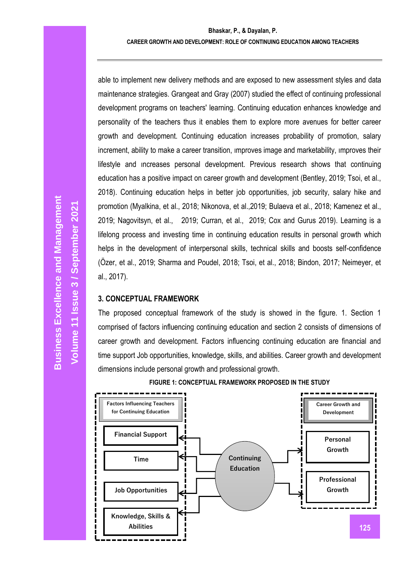able to implement new delivery methods and are exposed to new assessment styles and data maintenance strategies. Grangeat and Gray (2007) studied the effect of continuing professional development programs on teachers' learning. Continuing education enhances knowledge and personality of the teachers thus it enables them to explore more avenues for better career growth and development. Continuing education increases probability of promotion, salary increment, ability to make a career transition, ımproves image and marketability, ımproves their lifestyle and ıncreases personal development. Previous research shows that continuing education has a positive impact on career growth and development (Bentley, 2019; Tsoi, et al., 2018). Continuing education helps in better job opportunities, job security, salary hike and promotion (Myalkina, et al., 2018; Nikonova, et al.,2019; Bulaeva et al., 2018; Kamenez et al., 2019; Nagovitsyn, et al., 2019; Curran, et al., 2019; Cox and Gurus 2019). Learning is a lifelong process and investing time in continuing education results in personal growth which helps in the development of interpersonal skills, technical skills and boosts self-confidence (Özer, et al., 2019; Sharma and Poudel, 2018; Tsoi, et al., 2018; Bindon, 2017; Neimeyer, et al., 2017).

## **3. CONCEPTUAL FRAMEWORK**

The proposed conceptual framework of the study is showed in the figure. 1. Section 1 comprised of factors influencing continuing education and section 2 consists of dimensions of career growth and development. Factors influencing continuing education are financial and time support Job opportunities, knowledge, skills, and abilities. Career growth and development dimensions include personal growth and professional growth.



**FIGURE 1: CONCEPTUAL FRAMEWORK PROPOSED IN THE STUDY**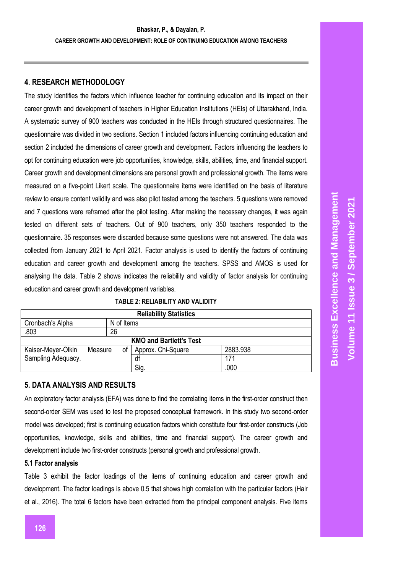## **4. RESEARCH METHODOLOGY**

The study identifies the factors which influence teacher for continuing education and its impact on their career growth and development of teachers in Higher Education Institutions (HEIs) of Uttarakhand, India. A systematic survey of 900 teachers was conducted in the HEIs through structured questionnaires. The questionnaire was divided in two sections. Section 1 included factors influencing continuing education and section 2 included the dimensions of career growth and development. Factors influencing the teachers to opt for continuing education were job opportunities, knowledge, skills, abilities, time, and financial support. Career growth and development dimensions are personal growth and professional growth. The items were measured on a five-point Likert scale. The questionnaire items were identified on the basis of literature review to ensure content validity and was also pilot tested among the teachers. 5 questions were removed and 7 questions were reframed after the pilot testing. After making the necessary changes, it was again tested on different sets of teachers. Out of 900 teachers, only 350 teachers responded to the questionnaire. 35 responses were discarded because some questions were not answered. The data was collected from January 2021 to April 2021. Factor analysis is used to identify the factors of continuing education and career growth and development among the teachers. SPSS and AMOS is used for analysing the data. Table 2 shows indicates the reliability and validity of factor analysis for continuing education and career growth and development variables.

| <b>Reliability Statistics</b>  |         |            |                    |          |  |  |  |  |
|--------------------------------|---------|------------|--------------------|----------|--|--|--|--|
| Cronbach's Alpha               |         | N of Items |                    |          |  |  |  |  |
| .803                           |         | 26         |                    |          |  |  |  |  |
| <b>KMO and Bartlett's Test</b> |         |            |                    |          |  |  |  |  |
| Kaiser-Meyer-Olkin             | Measure | οt         | Approx. Chi-Square | 2883.938 |  |  |  |  |
| Sampling Adequacy.             |         |            | df                 | 171      |  |  |  |  |
|                                |         |            | Sig.               | .000     |  |  |  |  |

#### **TABLE 2: RELIABILITY AND VALIDITY**

## **5. DATA ANALYSIS AND RESULTS**

An exploratory factor analysis (EFA) was done to find the correlating items in the first-order construct then second-order SEM was used to test the proposed conceptual framework. In this study two second-order model was developed; first is continuing education factors which constitute four first-order constructs (Job opportunities, knowledge, skills and abilities, time and financial support). The career growth and development include two first-order constructs (personal growth and professional growth.

#### **5.1 Factor analysis**

Table 3 exhibit the factor loadings of the items of continuing education and career growth and development. The factor loadings is above 0.5 that shows high correlation with the particular factors (Hair et al., 2016). The total 6 factors have been extracted from the principal component analysis. Five items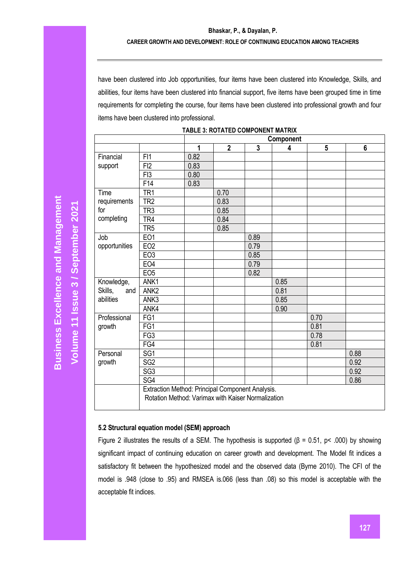## **Bhaskar, P., & Dayalan, P. CAREER GROWTH AND DEVELOPMENT: ROLE OF CONTINUING EDUCATION AMONG TEACHERS**

have been clustered into Job opportunities, four items have been clustered into Knowledge, Skills, and abilities, four items have been clustered into financial support, five items have been grouped time in time requirements for completing the course, four items have been clustered into professional growth and four items have been clustered into professional.

|                |                                                                                                        | Component |                |      |      |      |      |
|----------------|--------------------------------------------------------------------------------------------------------|-----------|----------------|------|------|------|------|
|                |                                                                                                        | 1         | $\overline{2}$ | 3    | 4    | 5    | 6    |
| Financial      | FI1                                                                                                    | 0.82      |                |      |      |      |      |
| support        | FI2                                                                                                    | 0.83      |                |      |      |      |      |
|                | F <sub>13</sub>                                                                                        | 0.80      |                |      |      |      |      |
|                | F14                                                                                                    | 0.83      |                |      |      |      |      |
| Time           | TR <sub>1</sub>                                                                                        |           | 0.70           |      |      |      |      |
| requirements   | TR <sub>2</sub>                                                                                        |           | 0.83           |      |      |      |      |
| for            | TR <sub>3</sub>                                                                                        |           | 0.85           |      |      |      |      |
| completing     | TR4                                                                                                    |           | 0.84           |      |      |      |      |
|                | TR <sub>5</sub>                                                                                        |           | 0.85           |      |      |      |      |
| Job            | EO1                                                                                                    |           |                | 0.89 |      |      |      |
| opportunities  | EO <sub>2</sub>                                                                                        |           |                | 0.79 |      |      |      |
|                | EO3                                                                                                    |           |                | 0.85 |      |      |      |
|                | EO <sub>4</sub>                                                                                        |           |                | 0.79 |      |      |      |
|                | EO <sub>5</sub>                                                                                        |           |                | 0.82 |      |      |      |
| Knowledge,     | ANK1                                                                                                   |           |                |      | 0.85 |      |      |
| Skills,<br>and | ANK <sub>2</sub>                                                                                       |           |                |      | 0.81 |      |      |
| abilities      | ANK3                                                                                                   |           |                |      | 0.85 |      |      |
|                | ANK4                                                                                                   |           |                |      | 0.90 |      |      |
| Professional   | FG1                                                                                                    |           |                |      |      | 0.70 |      |
| growth         | FG1                                                                                                    |           |                |      |      | 0.81 |      |
|                | FG3                                                                                                    |           |                |      |      | 0.78 |      |
|                | FG4                                                                                                    |           |                |      |      | 0.81 |      |
| Personal       | SG <sub>1</sub>                                                                                        |           |                |      |      |      | 0.88 |
| growth         | SG <sub>2</sub>                                                                                        |           |                |      |      |      | 0.92 |
|                | SG <sub>3</sub>                                                                                        |           |                |      |      |      | 0.92 |
|                | SG4                                                                                                    |           |                |      |      |      | 0.86 |
|                | Extraction Method: Principal Component Analysis.<br>Rotation Method: Varimax with Kaiser Normalization |           |                |      |      |      |      |

#### **TABLE 3: ROTATED COMPONENT MATRIX**

#### **5.2 Structural equation model (SEM) approach**

Figure 2 illustrates the results of a SEM. The hypothesis is supported ( $β = 0.51$ ,  $p < .000$ ) by showing significant impact of continuing education on career growth and development. The Model fit indices a satisfactory fit between the hypothesized model and the observed data (Byrne 2010). The CFI of the model is .948 (close to .95) and RMSEA is.066 (less than .08) so this model is acceptable with the acceptable fit indices.

**Volume 11 Issue** 

**/ September 2021**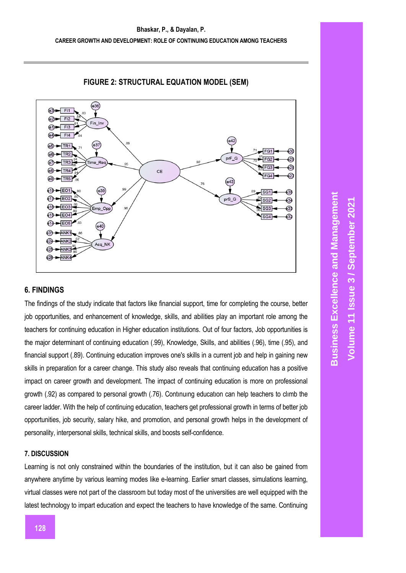

## **FIGURE 2: STRUCTURAL EQUATION MODEL (SEM)**

## **6. FINDINGS**

The findings of the study indicate that factors like financial support, time for completing the course, better job opportunities, and enhancement of knowledge, skills, and abilities play an important role among the teachers for continuing education in Higher education institutions. Out of four factors, Job opportunities is the major determinant of continuing education (.99), Knowledge, Skills, and abilities (.96), time (.95), and financial support (.89). Continuing education improves one's skills in a current job and help in gaining new skills in preparation for a career change. This study also reveals that continuing education has a positive impact on career growth and development. The impact of continuing education is more on professional growth (.92) as compared to personal growth (.76). Contınuıng educatıon can help teachers to clımb the career ladder. With the help of continuing education, teachers get professional growth in terms of better job opportunities, job security, salary hike, and promotion, and personal growth helps in the development of personality, interpersonal skills, technical skills, and boosts self-confidence.

## **7. DISCUSSION**

Learning is not only constrained within the boundaries of the institution, but it can also be gained from anywhere anytime by various learning modes like e-learning. Earlier smart classes, simulations learning, virtual classes were not part of the classroom but today most of the universities are well equipped with the latest technology to impart education and expect the teachers to have knowledge of the same. Continuing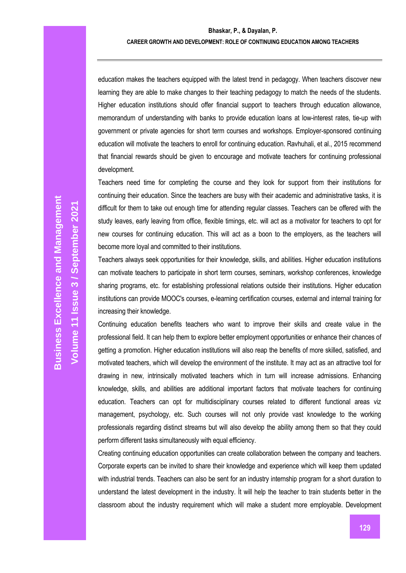#### **CAREER GROWTH AND DEVELOPMENT: ROLE OF CONTINUING EDUCATION AMONG TEACHERS**

education makes the teachers equipped with the latest trend in pedagogy. When teachers discover new learning they are able to make changes to their teaching pedagogy to match the needs of the students. Higher education institutions should offer financial support to teachers through education allowance, memorandum of understanding with banks to provide education loans at low-interest rates, tie-up with government or private agencies for short term courses and workshops. Employer-sponsored continuing education will motivate the teachers to enroll for continuing education. Ravhuhali, et al., 2015 recommend that financial rewards should be given to encourage and motivate teachers for continuing professional development.

Teachers need time for completing the course and they look for support from their institutions for continuing their education. Since the teachers are busy with their academic and administrative tasks, it is difficult for them to take out enough time for attending regular classes. Teachers can be offered with the study leaves, early leaving from office, flexible timings, etc. will act as a motivator for teachers to opt for new courses for continuing education. This will act as a boon to the employers, as the teachers will become more loyal and committed to their institutions.

Teachers always seek opportunities for their knowledge, skills, and abilities. Higher education institutions can motivate teachers to participate in short term courses, seminars, workshop conferences, knowledge sharing programs, etc. for establishing professional relations outside their institutions. Higher education institutions can provide MOOC's courses, e-learning certification courses, external and internal training for increasing their knowledge.

Continuing education benefits teachers who want to improve their skills and create value in the professional field. It can help them to explore better employment opportunities or enhance their chances of getting a promotion. Higher education institutions will also reap the benefits of more skilled, satisfied, and motivated teachers, which will develop the environment of the institute. It may act as an attractive tool for drawing in new, intrinsically motivated teachers which in turn will increase admissions. Enhancing knowledge, skills, and abilities are additional important factors that motivate teachers for continuing education. Teachers can opt for multidisciplinary courses related to different functional areas viz management, psychology, etc. Such courses will not only provide vast knowledge to the working professionals regarding distinct streams but will also develop the ability among them so that they could perform different tasks simultaneously with equal efficiency.

Creating continuing education opportunities can create collaboration between the company and teachers. Corporate experts can be invited to share their knowledge and experience which will keep them updated with industrial trends. Teachers can also be sent for an industry internship program for a short duration to understand the latest development in the industry. İt will help the teacher to train students better in the classroom about the industry requirement which will make a student more employable. Development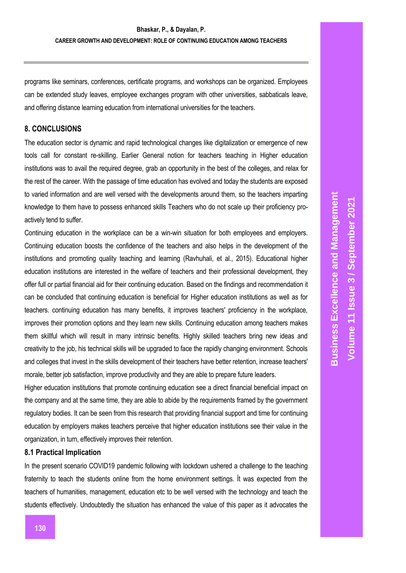programs like seminars, conferences, certificate programs, and workshops can be organized. Employees can be extended study leaves, employee exchanges program with other universities, sabbaticals leave, and offering distance learning education from international universities for the teachers.

## **8. CONCLUSIONS**

The education sector is dynamic and rapid technological changes like digitalization or emergence of new tools call for constant re-skilling. Earlier General notion for teachers teaching in Higher education institutions was to avail the required degree, grab an opportunity in the best of the colleges, and relax for the rest of the career. With the passage of time education has evolved and today the students are exposed to varied information and are well versed with the developments around them, so the teachers imparting knowledge to them have to possess enhanced skills Teachers who do not scale up their proficiency proactively tend to suffer.

Continuing education in the workplace can be a win-win situation for both employees and employers. Continuing education boosts the confidence of the teachers and also helps in the development of the institutions and promoting quality teaching and learning (Ravhuhali, et al., 2015). Educational higher education institutions are interested in the welfare of teachers and their professional development, they offer full or partial financial aid for their continuing education. Based on the findings and recommendation it can be concluded that continuing education is beneficial for Higher education institutions as well as for teachers. continuing education has many benefits, it improves teachers' proficiency in the workplace, improves their promotion options and they learn new skills. Continuing education among teachers makes them skillful which will result in many intrinsic benefits. Highly skilled teachers bring new ideas and creativity to the job, his technical skills will be upgraded to face the rapidly changing environment. Schools and colleges that invest in the skills development of their teachers have better retention, increase teachers' morale, better job satisfaction, improve productivity and they are able to prepare future leaders.

Higher education institutions that promote continuing education see a direct financial beneficial impact on the company and at the same time, they are able to abide by the requirements framed by the government regulatory bodies. It can be seen from this research that providing financial support and time for continuing education by employers makes teachers perceive that higher education institutions see their value in the organization, in turn, effectively improves their retention.

#### **8.1 Practical Implication**

In the present scenario COVID19 pandemic following with lockdown ushered a challenge to the teaching fraternity to teach the students online from the home environment settings. İt was expected from the teachers of humanities, management, education etc to be well versed with the technology and teach the students effectively. Undoubtedly the situation has enhanced the value of this paper as it advocates the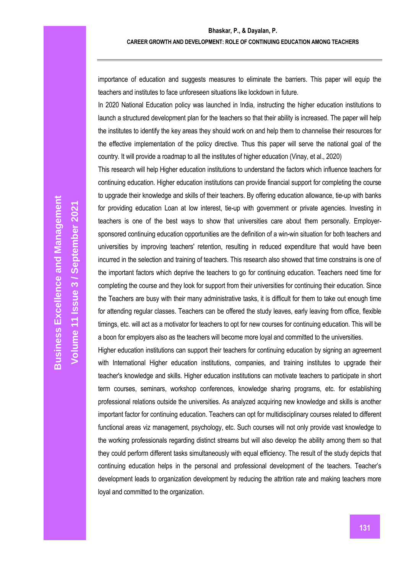importance of education and suggests measures to eliminate the barriers. This paper will equip the teachers and institutes to face unforeseen situations like lockdown in future.

In 2020 National Education policy was launched in India, instructing the higher education institutions to launch a structured development plan for the teachers so that their ability is increased. The paper will help the institutes to identify the key areas they should work on and help them to channelise their resources for the effective implementation of the policy directive. Thus this paper will serve the national goal of the country. It will provide a roadmap to all the institutes of higher education (Vinay, et al., 2020)

This research will help Higher education institutions to understand the factors which influence teachers for continuing education. Higher education institutions can provide financial support for completing the course to upgrade their knowledge and skills of their teachers. By offering education allowance, tie-up with banks for providing education Loan at low interest, tie-up with government or private agencies. Investing in teachers is one of the best ways to show that universities care about them personally. Employersponsored continuing education opportunities are the definition of a win-win situation for both teachers and universities by improving teachers' retention, resulting in reduced expenditure that would have been incurred in the selection and training of teachers. This research also showed that time constrains is one of the important factors which deprive the teachers to go for continuing education. Teachers need time for completing the course and they look for support from their universities for continuing their education. Since the Teachers are busy with their many administrative tasks, it is difficult for them to take out enough time for attending regular classes. Teachers can be offered the study leaves, early leaving from office, flexible timings, etc. will act as a motivator for teachers to opt for new courses for continuing education. This will be a boon for employers also as the teachers will become more loyal and committed to the universities.

Higher education institutions can support their teachers for continuing education by signing an agreement with International Higher education institutions, companies, and training institutes to upgrade their teacher's knowledge and skills. Higher education institutions can motivate teachers to participate in short term courses, seminars, workshop conferences, knowledge sharing programs, etc. for establishing professional relations outside the universities. As analyzed acquiring new knowledge and skills is another important factor for continuing education. Teachers can opt for multidisciplinary courses related to different functional areas viz management, psychology, etc. Such courses will not only provide vast knowledge to the working professionals regarding distinct streams but will also develop the ability among them so that they could perform different tasks simultaneously with equal efficiency. The result of the study depicts that continuing education helps in the personal and professional development of the teachers. Teacher's development leads to organization development by reducing the attrition rate and making teachers more loyal and committed to the organization.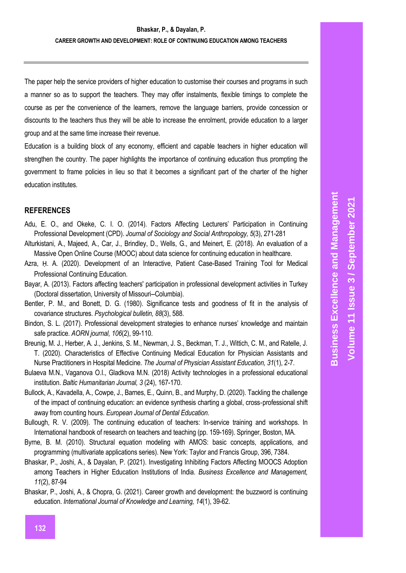The paper help the service providers of higher education to customise their courses and programs in such a manner so as to support the teachers. They may offer instalments, flexible timings to complete the course as per the convenience of the learners, remove the language barriers, provide concession or discounts to the teachers thus they will be able to increase the enrolment, provide education to a larger group and at the same time increase their revenue.

Education is a building block of any economy, efficient and capable teachers in higher education will strengthen the country. The paper highlights the importance of continuing education thus prompting the government to frame policies in lieu so that it becomes a significant part of the charter of the higher education institutes.

## **REFERENCES**

- Adu, E. O., and Okeke, C. I. O. (2014). Factors Affecting Lecturers' Participation in Continuing Professional Development (CPD). *Journal of Sociology and Social Anthropology, 5*(3), 271-281
- Alturkistani, A., Majeed, A., Car, J., Brindley, D., Wells, G., and Meinert, E. (2018). An evaluation of a Massive Open Online Course (MOOC) about data science for continuing education in healthcare.
- Azra, H. A. (2020). Development of an Interactive, Patient Case-Based Training Tool for Medical Professional Continuing Education.
- Bayar, A. (2013). Factors affecting teachers' participation in professional development activities in Turkey (Doctoral dissertation, University of Missouri--Columbia).
- Bentler, P. M., and Bonett, D. G. (1980). Significance tests and goodness of fit in the analysis of covariance structures. *Psychological bulletin, 88*(3), 588.
- Bindon, S. L. (2017). Professional development strategies to enhance nurses' knowledge and maintain safe practice. *AORN journal, 106*(2), 99-110.
- Breunig, M. J., Herber, A. J., Jenkins, S. M., Newman, J. S., Beckman, T. J., Wittich, C. M., and Ratelle, J. T. (2020). Characteristics of Effective Continuing Medical Education for Physician Assistants and Nurse Practitioners in Hospital Medicine. *The Journal of Physician Assistant Education, 31*(1), 2-7.
- Bulaeva M.N., Vaganova O.I., Gladkova M.N. (2018) Activity technologies in a professional educational institution. *Baltic Humanitarian Journal, 3* (24), 167-170.
- Bullock, A., Kavadella, A., Cowpe, J., Barnes, E., Quinn, B., and Murphy, D. (2020). Tackling the challenge of the impact of continuing education: an evidence synthesis charting a global, cross‐professional shift away from counting hours. *European Journal of Dental Education*.
- Bullough, R. V. (2009). The continuing education of teachers: In-service training and workshops. In International handbook of research on teachers and teaching (pp. 159-169). Springer, Boston, MA.
- Byrne, B. M. (2010). Structural equation modeling with AMOS: basic concepts, applications, and programming (multivariate applications series). New York: Taylor and Francis Group, 396, 7384.
- Bhaskar, P., Joshi, A., & Dayalan, P. (2021). Investigating Inhibiting Factors Affecting MOOCS Adoption among Teachers in Higher Education Institutions of India. *Business Excellence and Management, 11*(2), 87-94
- Bhaskar, P., Joshi, A., & Chopra, G. (2021). Career growth and development: the buzzword is continuing education. *International Journal of Knowledge and Learning, 14*(1), 39-62.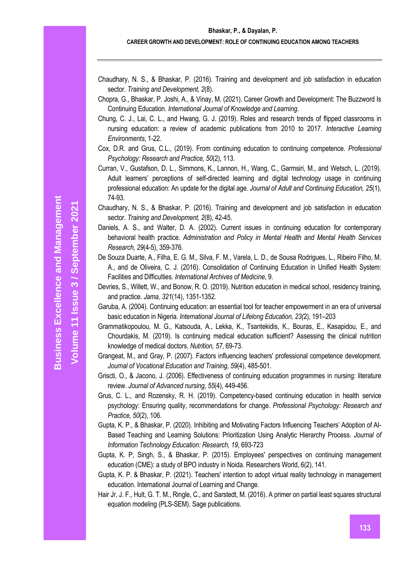#### **Bhaskar, P., & Dayalan, P.**

#### **CAREER GROWTH AND DEVELOPMENT: ROLE OF CONTINUING EDUCATION AMONG TEACHERS**

- Chaudhary, N. S., & Bhaskar, P. (2016). Training and development and job satisfaction in education sector. *Training and Development, 2*(8).
- Chopra, G., Bhaskar, P. Joshi, A., & Vinay, M. (2021). Career Growth and Development: The Buzzword Is Continuing Education. *International Journal of Knowledge and Learning*.
- Chung, C. J., Lai, C. L., and Hwang, G. J. (2019). Roles and research trends of flipped classrooms in nursing education: a review of academic publications from 2010 to 2017. *Interactive Learning Environments*, 1-22.
- Cox, D.R. and Grus, C.L., (2019). From continuing education to continuing competence. *Professional Psychology: Research and Practice, 50*(2), 113.
- Curran, V., Gustafson, D. L., Simmons, K., Lannon, H., Wang, C., Garmsiri, M., and Wetsch, L. (2019). Adult learners' perceptions of self-directed learning and digital technology usage in continuing professional education: An update for the digital age*. Journal of Adult and Continuing Education, 25*(1), 74-93.
- Chaudhary, N. S., & Bhaskar, P. (2016). Training and development and job satisfaction in education sector. *Training and Development, 2*(8), 42-45.
- Daniels, A. S., and Walter, D. A. (2002). Current issues in continuing education for contemporary behavioral health practice. *Administration and Policy in Mental Health and Mental Health Services Research, 29*(4-5), 359-376.
- De Souza Duarte, A., Filha, E. G. M., Silva, F. M., Varela, L. D., de Sousa Rodrigues, L., Ribeiro Filho, M. A., and de Oliveira, C. J. (2016). Consolidation of Continuing Education in Unified Health System: Facilities and Difficulties. *International Archives of Medicine*, 9.
- Devries, S., Willett, W., and Bonow, R. O. (2019). Nutrition education in medical school, residency training, and practice. *Jama, 321*(14), 1351-1352.
- Garuba, A. (2004). Continuing education: an essential tool for teacher empowerment in an era of universal basic education in Nigeria. *International Journal of Lifelong Education, 23(*2), 191–203
- Grammatikopoulou, M. G., Katsouda, A., Lekka, K., Tsantekidis, K., Bouras, E., Kasapidou, E., and Chourdakis, M. (2019). Is continuing medical education sufficient? Assessing the clinical nutrition knowledge of medical doctors. *Nutrition, 57*, 69-73.
- Grangeat, M., and Gray, P. (2007). Factors influencing teachers' professional competence development. *Journal of Vocational Education and Training, 59*(4), 485-501.
- Griscti, O., & Jacono, J. (2006). Effectiveness of continuing education programmes in nursing: literature review. *Journal of Advanced nursing, 55*(4), 449-456.
- Grus, C. L., and Rozensky, R. H. (2019). Competency-based continuing education in health service psychology: Ensuring quality, recommendations for change. *Professional Psychology: Research and Practice, 50*(2), 106.
- Gupta, K. P., & Bhaskar, P. (2020). Inhibiting and Motivating Factors Influencing Teachers' Adoption of AI-Based Teaching and Learning Solutions: Prioritization Using Analytic Hierarchy Process. *Journal of Information Technology Education: Research, 19*, 693-723
- Gupta, K. P, Singh, S., & Bhaskar, P. (2015). Employees' perspectives on continuing management education (CME): a study of BPO industry in Noida. Researchers World, 6(2), 141.
- Gupta, K. P. & Bhaskar, P. (2021). Teachers' intention to adopt virtual reality technology in management education. International Journal of Learning and Change.
- Hair Jr, J. F., Hult, G. T. M., Ringle, C., and Sarstedt, M. (2016). A primer on partial least squares structural equation modeling (PLS-SEM). Sage publications.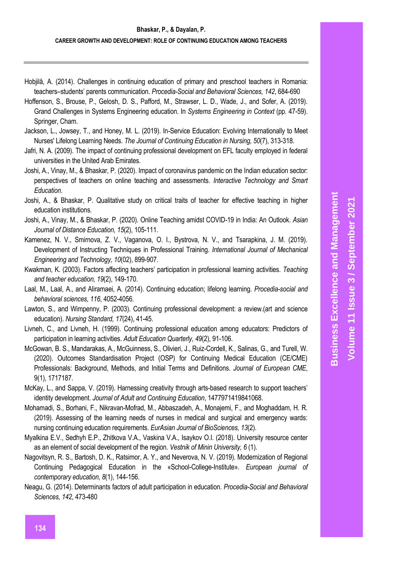- Hobjilă, A. (2014). Challenges in continuing education of primary and preschool teachers in Romania: teachers–students' parents communication. *Procedia-Social and Behavioral Sciences, 142*, 684-690
- Hoffenson, S., Brouse, P., Gelosh, D. S., Pafford, M., Strawser, L. D., Wade, J., and Sofer, A. (2019). Grand Challenges in Systems Engineering education. In *Systems Engineering in Context* (pp. 47-59). Springer, Cham.
- Jackson, L., Jowsey, T., and Honey, M. L. (2019). In-Service Education: Evolving Internationally to Meet Nurses' Lifelong Learning Needs. *The Journal of Continuing Education in Nursing, 50*(7), 313-318.
- Jafri, N. A. (2009). The impact of continuing professional development on EFL faculty employed in federal universities in the United Arab Emirates.
- Joshi, A., Vinay, M., & Bhaskar, P. (2020). Impact of coronavirus pandemic on the Indian education sector: perspectives of teachers on online teaching and assessments. *Interactive Technology and Smart Education*.
- Joshi, A., & Bhaskar, P. Qualitative study on critical traits of teacher for effective teaching in higher education institutions.
- Joshi, A., Vinay, M., & Bhaskar, P. (2020). Online Teaching amidst COVID-19 in India: An Outlook. *Asian Journal of Distance Education, 15*(2), 105-111.
- Kamenez, N. V., Smirnova, Z. V., Vaganova, O. I., Bystrova, N. V., and Tsarapkina, J. M. (2019). Development of Instructing Techniques in Professional Training. *International Journal of Mechanical Engineering and Technology, 10*(02), 899-907.
- Kwakman, K. (2003). Factors affecting teachers' participation in professional learning activities. *Teaching and teacher education, 19*(2), 149-170.
- Laal, M., Laal, A., and Aliramaei, A. (2014). Continuing education; lifelong learning. *Procedia-social and behavioral sciences, 116*, 4052-4056.
- Lawton, S., and Wimpenny, P. (2003). Continuing professional development: a review.(art and science education). *Nursing Standard, 17*(24), 41-45.
- Livneh, C., and Livneh, H. (1999). Continuing professional education among educators: Predictors of participation in learning activities. *Adult Education Quarterly, 49*(2), 91-106.
- McGowan, B. S., Mandarakas, A., McGuinness, S., Olivieri, J., Ruiz-Cordell, K., Salinas, G., and Turell, W. (2020). Outcomes Standardisation Project (OSP) for Continuing Medical Education (CE/CME) Professionals: Background, Methods, and Initial Terms and Definitions. *Journal of European CME*, 9(1), 1717187.
- McKay, L., and Sappa, V. (2019). Harnessing creativity through arts-based research to support teachers' identity development. *Journal of Adult and Continuing Education*, 1477971419841068.
- Mohamadi, S., Borhani, F., Nikravan-Mofrad, M., Abbaszadeh, A., Monajemi, F., and Moghaddam, H. R. (2019). Assessing of the learning needs of nurses in medical and surgical and emergency wards: nursing continuing education requirements. *EurAsian Journal of BioSciences, 13*(2).
- Myalkina E.V., Sedhyh E.P., Zhitkova V.A., Vaskina V.A., Isaykov O.I. (2018). University resource center as an element of social development of the region. *Vestnik of Minin University, 6* (1).
- Nagovitsyn, R. S., Bartosh, D. K., Ratsimor, A. Y., and Neverova, N. V. (2019). Modernization of Regional Continuing Pedagogical Education in the «School-College-Institute». *European journal of contemporary education, 8*(1), 144-156.
- Neagu, G. (2014). Determinants factors of adult participation in education. *Procedia-Social and Behavioral Sciences, 142*, 473-480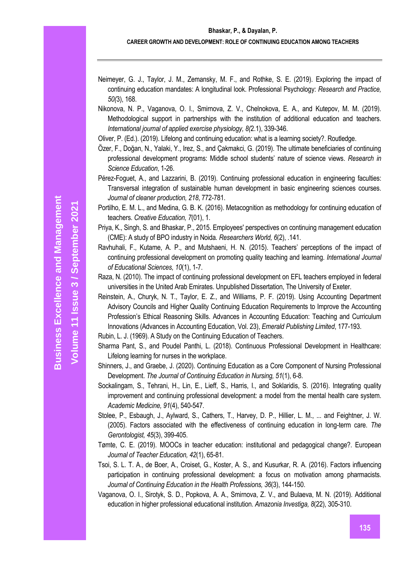- Neimeyer, G. J., Taylor, J. M., Zemansky, M. F., and Rothke, S. E. (2019). Exploring the impact of continuing education mandates: A longitudinal look. Professional Psychology: *Research and Practice, 50(*3), 168.
- Nikonova, N. P., Vaganova, O. I., Smirnova, Z. V., Chelnokova, E. A., and Kutepov, M. M. (2019). Methodological support in partnerships with the institution of additional education and teachers. *International journal of applied exercise physiology, 8(*2.1), 339-346.
- Oliver, P. (Ed.). (2019). Lifelong and continuing education: what is a learning society?. Routledge.
- Özer, F., Doğan, N., Yalaki, Y., Irez, S., and Çakmakci, G. (2019). The ultimate beneficiaries of continuing professional development programs: Middle school students' nature of science views. *Research in Science Education*, 1-26.
- Pérez-Foguet, A., and Lazzarini, B. (2019). Continuing professional education in engineering faculties: Transversal integration of sustainable human development in basic engineering sciences courses. *Journal of cleaner production, 218*, 772-781.
- Portilho, E. M. L., and Medina, G. B. K. (2016). Metacognition as methodology for continuing education of teachers. *Creative Education, 7*(01), 1.
- Priya, K., Singh, S. and Bhaskar, P., 2015. Employees' perspectives on continuing management education (CME): A study of BPO industry in Noida*. Researchers World, 6*(2), .141.
- Ravhuhali, F., Kutame, A. P., and Mutshaeni, H. N. (2015). Teachers' perceptions of the impact of continuing professional development on promoting quality teaching and learning. *International Journal of Educational Sciences, 10*(1), 1-7.
- Raza, N. (2010). The impact of continuing professional development on EFL teachers employed in federal universities in the United Arab Emirates. Unpublished Dissertation, The University of Exeter.
- Reinstein, A., Churyk, N. T., Taylor, E. Z., and Williams, P. F. (2019). Using Accounting Department Advisory Councils and Higher Quality Continuing Education Requirements to Improve the Accounting Profession's Ethical Reasoning Skills. Advances in Accounting Education: Teaching and Curriculum Innovations (Advances in Accounting Education, Vol. 23), *Emerald Publishing Limited*, 177-193.
- Rubin, L. J. (1969). A Study on the Continuing Education of Teachers.
- Sharma Pant, S., and Poudel Panthi, L. (2018). Continuous Professional Development in Healthcare: Lifelong learning for nurses in the workplace.
- Shinners, J., and Graebe, J. (2020). Continuing Education as a Core Component of Nursing Professional Development. *The Journal of Continuing Education in Nursing, 51*(1), 6-8.
- Sockalingam, S., Tehrani, H., Lin, E., Lieff, S., Harris, I., and Soklaridis, S. (2016). Integrating quality improvement and continuing professional development: a model from the mental health care system. *Academic Medicine, 91*(4), 540-547.
- Stolee, P., Esbaugh, J., Aylward, S., Cathers, T., Harvey, D. P., Hillier, L. M., ... and Feightner, J. W. (2005). Factors associated with the effectiveness of continuing education in long-term care. *The Gerontologist, 45*(3), 399-405.
- Tømte, C. E. (2019). MOOCs in teacher education: institutional and pedagogical change?. European *Journal of Teacher Education, 42*(1), 65-81.
- Tsoi, S. L. T. A., de Boer, A., Croiset, G., Koster, A. S., and Kusurkar, R. A. (2016). Factors influencing participation in continuing professional development: a focus on motivation among pharmacists. *Journal of Continuing Education in the Health Professions, 36*(3), 144-150.
- Vaganova, O. I., Sirotyk, S. D., Popkova, A. A., Smirnova, Z. V., and Bulaeva, M. N. (2019). Additional education in higher professional educational institution. *Amazonia Investiga, 8*(22), 305-310.